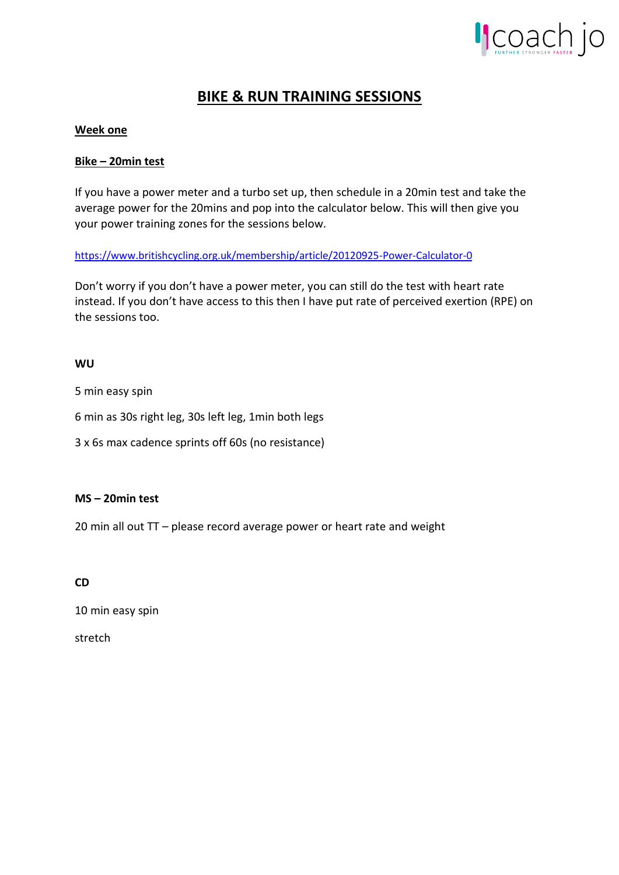

# **BIKE & RUN TRAINING SESSIONS**

# **Week one**

### **Bike – 20min test**

If you have a power meter and a turbo set up, then schedule in a 20min test and take the average power for the 20mins and pop into the calculator below. This will then give you your power training zones for the sessions below.

<https://www.britishcycling.org.uk/membership/article/20120925-Power-Calculator-0>

Don't worry if you don't have a power meter, you can still do the test with heart rate instead. If you don't have access to this then I have put rate of perceived exertion (RPE) on the sessions too.

### **WU**

5 min easy spin

6 min as 30s right leg, 30s left leg, 1min both legs

3 x 6s max cadence sprints off 60s (no resistance)

### **MS – 20min test**

20 min all out TT – please record average power or heart rate and weight

### **CD**

10 min easy spin

stretch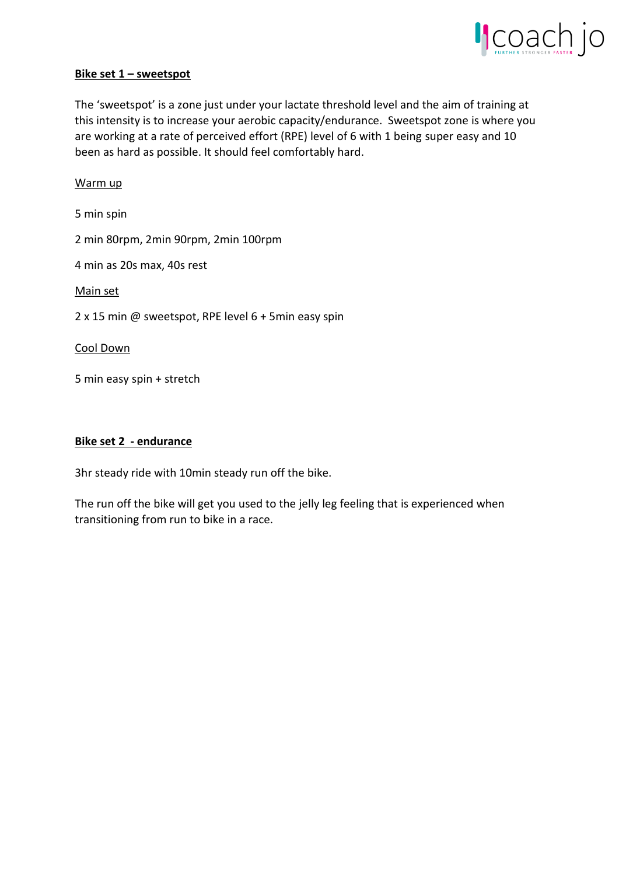

### **Bike set 1 – sweetspot**

The 'sweetspot' is a zone just under your lactate threshold level and the aim of training at this intensity is to increase your aerobic capacity/endurance. Sweetspot zone is where you are working at a rate of perceived effort (RPE) level of 6 with 1 being super easy and 10 been as hard as possible. It should feel comfortably hard.

### Warm up

5 min spin

2 min 80rpm, 2min 90rpm, 2min 100rpm

4 min as 20s max, 40s rest

Main set

2 x 15 min @ sweetspot, RPE level 6 + 5min easy spin

Cool Down

5 min easy spin + stretch

### **Bike set 2 - endurance**

3hr steady ride with 10min steady run off the bike.

The run off the bike will get you used to the jelly leg feeling that is experienced when transitioning from run to bike in a race.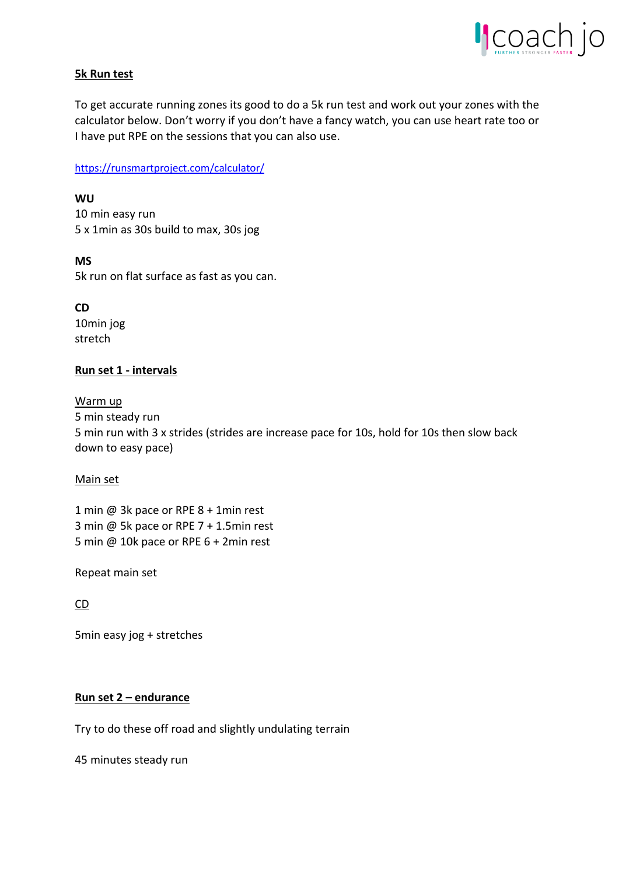

# **5k Run test**

To get accurate running zones its good to do a 5k run test and work out your zones with the calculator below. Don't worry if you don't have a fancy watch, you can use heart rate too or I have put RPE on the sessions that you can also use.

<https://runsmartproject.com/calculator/>

**WU** 10 min easy run 5 x 1min as 30s build to max, 30s jog

**MS** 5k run on flat surface as fast as you can.

**CD** 10min jog stretch

# **Run set 1 - intervals**

Warm up

5 min steady run 5 min run with 3 x strides (strides are increase pace for 10s, hold for 10s then slow back down to easy pace)

### Main set

1 min @ 3k pace or RPE 8 + 1min rest 3 min @ 5k pace or RPE 7 + 1.5min rest 5 min @ 10k pace or RPE 6 + 2min rest

Repeat main set

CD

5min easy jog + stretches

### **Run set 2 – endurance**

Try to do these off road and slightly undulating terrain

45 minutes steady run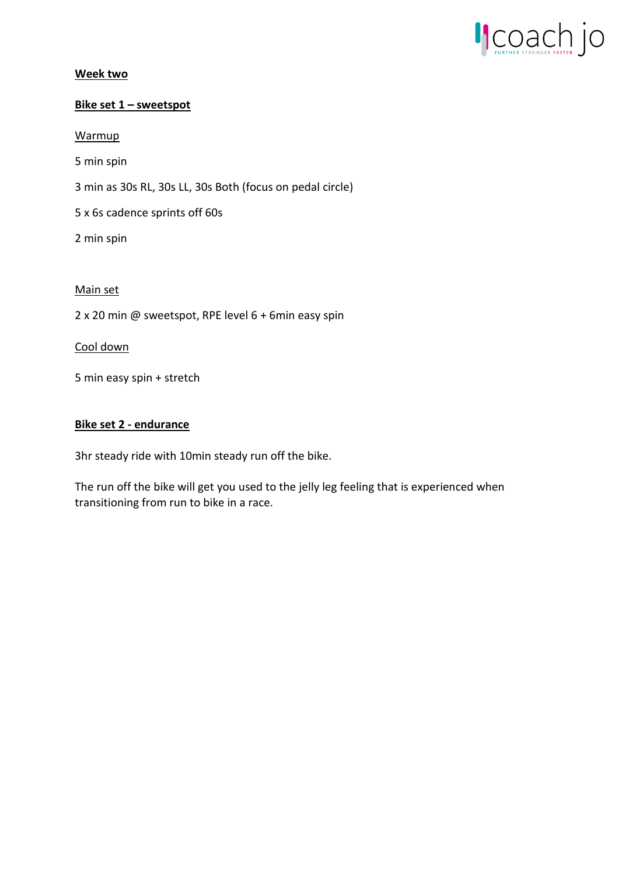

# **Week two**

## **Bike set 1 – sweetspot**

**Warmup** 

5 min spin

3 min as 30s RL, 30s LL, 30s Both (focus on pedal circle)

5 x 6s cadence sprints off 60s

2 min spin

# Main set

2 x 20 min @ sweetspot, RPE level 6 + 6min easy spin

### Cool down

5 min easy spin + stretch

### **Bike set 2 - endurance**

3hr steady ride with 10min steady run off the bike.

The run off the bike will get you used to the jelly leg feeling that is experienced when transitioning from run to bike in a race.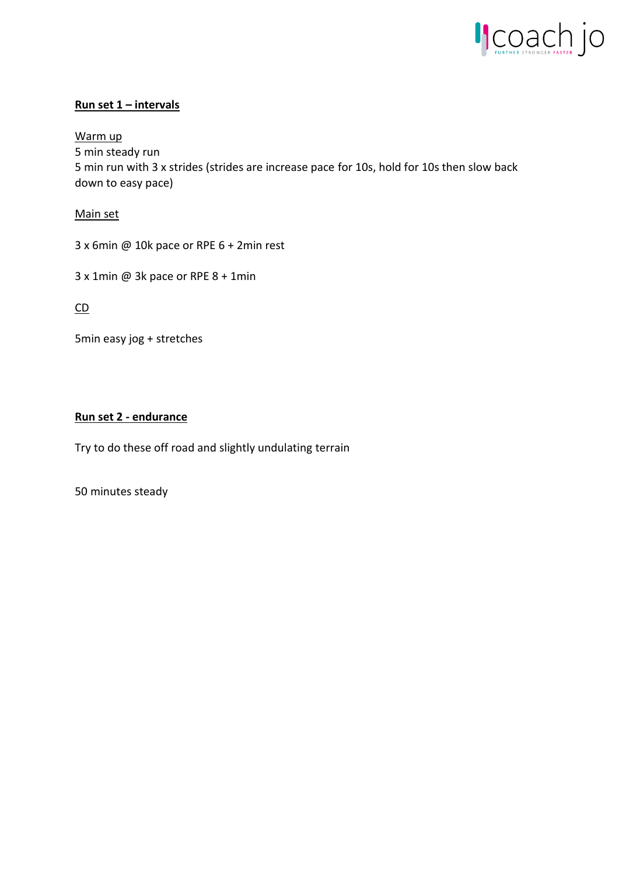

# **Run set 1 – intervals**

Warm up

5 min steady run 5 min run with 3 x strides (strides are increase pace for 10s, hold for 10s then slow back down to easy pace)

Main set

3 x 6min @ 10k pace or RPE 6 + 2min rest

3 x 1min @ 3k pace or RPE 8 + 1min

CD

5min easy jog + stretches

### **Run set 2 - endurance**

Try to do these off road and slightly undulating terrain

50 minutes steady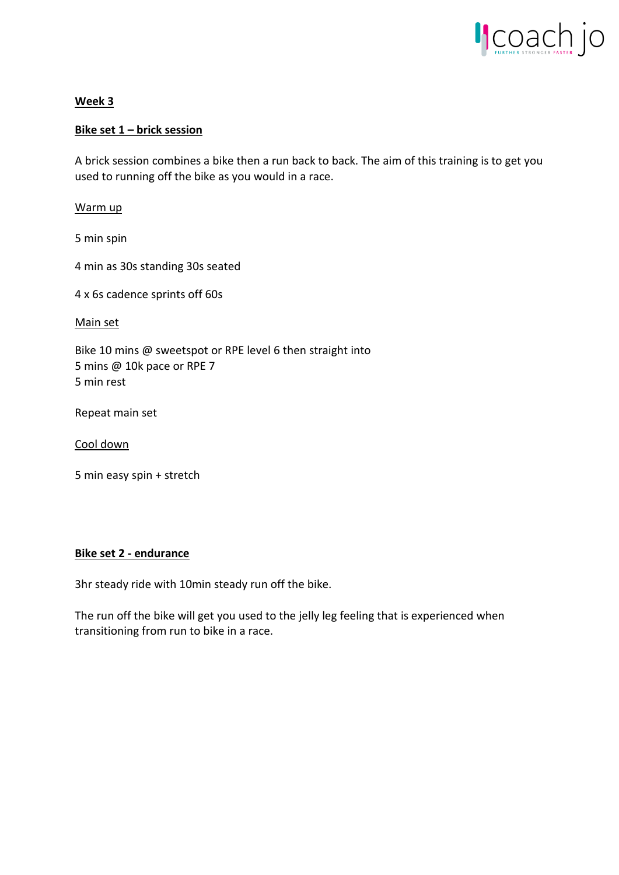

# **Week 3**

# **Bike set 1 – brick session**

A brick session combines a bike then a run back to back. The aim of this training is to get you used to running off the bike as you would in a race.

Warm up

5 min spin

4 min as 30s standing 30s seated

4 x 6s cadence sprints off 60s

Main set

Bike 10 mins @ sweetspot or RPE level 6 then straight into 5 mins @ 10k pace or RPE 7 5 min rest

Repeat main set

Cool down

5 min easy spin + stretch

### **Bike set 2 - endurance**

3hr steady ride with 10min steady run off the bike.

The run off the bike will get you used to the jelly leg feeling that is experienced when transitioning from run to bike in a race.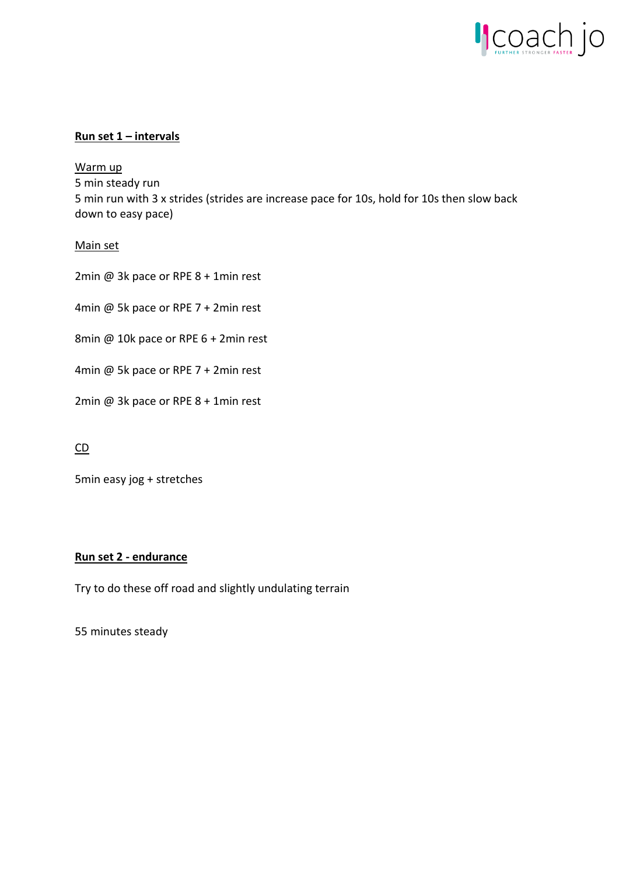

# **Run set 1 – intervals**

Warm up 5 min steady run 5 min run with 3 x strides (strides are increase pace for 10s, hold for 10s then slow back down to easy pace)

# Main set

2min @ 3k pace or RPE 8 + 1min rest

4min @ 5k pace or RPE 7 + 2min rest

8min @ 10k pace or RPE 6 + 2min rest

4min @ 5k pace or RPE 7 + 2min rest

2min @ 3k pace or RPE 8 + 1min rest

# CD

5min easy jog + stretches

# **Run set 2 - endurance**

Try to do these off road and slightly undulating terrain

55 minutes steady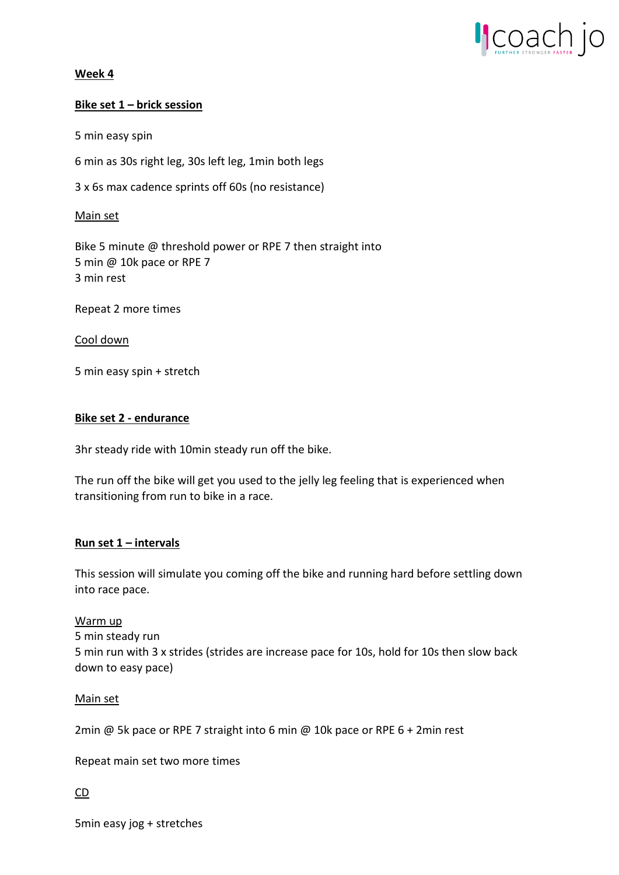

### **Week 4**

### **Bike set 1 – brick session**

5 min easy spin

6 min as 30s right leg, 30s left leg, 1min both legs

3 x 6s max cadence sprints off 60s (no resistance)

### Main set

Bike 5 minute @ threshold power or RPE 7 then straight into 5 min @ 10k pace or RPE 7 3 min rest

Repeat 2 more times

### Cool down

5 min easy spin + stretch

### **Bike set 2 - endurance**

3hr steady ride with 10min steady run off the bike.

The run off the bike will get you used to the jelly leg feeling that is experienced when transitioning from run to bike in a race.

### **Run set 1 – intervals**

This session will simulate you coming off the bike and running hard before settling down into race pace.

### Warm up

5 min steady run 5 min run with 3 x strides (strides are increase pace for 10s, hold for 10s then slow back down to easy pace)

### Main set

2min @ 5k pace or RPE 7 straight into 6 min @ 10k pace or RPE 6 + 2min rest

Repeat main set two more times

### CD

5min easy jog + stretches